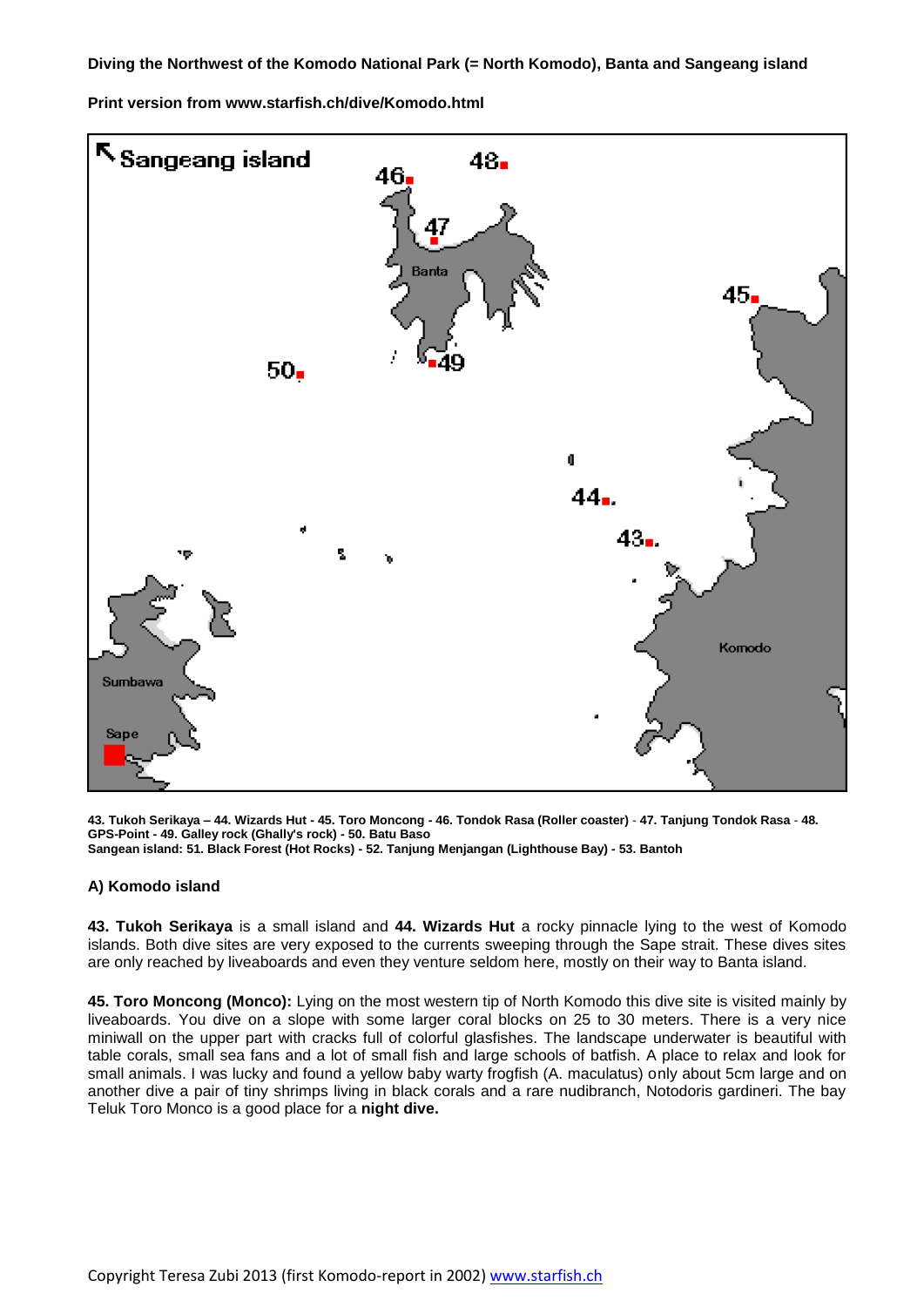**Diving the Northwest of the Komodo National Park (= North Komodo), Banta and Sangeang island**

**Print version from www.starfish.ch/dive/Komodo.html**



**43. Tukoh Serikaya – 44. Wizards Hut - 45. Toro Moncong - 46. Tondok Rasa (Roller coaster)** - **47. Tanjung Tondok Rasa** - **48. GPS-Point - 49. Galley rock (Ghally's rock) - 50. Batu Baso Sangean island: 51. Black Forest (Hot Rocks) - 52. Tanjung Menjangan (Lighthouse Bay) - 53. Bantoh**

## **A) Komodo island**

**43. Tukoh Serikaya** is a small island and **44. Wizards Hut** a rocky pinnacle lying to the west of Komodo islands. Both dive sites are very exposed to the currents sweeping through the Sape strait. These dives sites are only reached by liveaboards and even they venture seldom here, mostly on their way to Banta island.

**45. Toro Moncong (Monco):** Lying on the most western tip of North Komodo this dive site is visited mainly by liveaboards. You dive on a slope with some larger coral blocks on 25 to 30 meters. There is a very nice miniwall on the upper part with cracks full of colorful glasfishes. The landscape underwater is beautiful with table corals, small sea fans and a lot of small fish and large schools of batfish. A place to relax and look for small animals. I was lucky and found a yellow baby warty frogfish (A. maculatus) only about 5cm large and on another dive a pair of tiny shrimps living in black corals and a rare nudibranch, Notodoris gardineri. The bay Teluk Toro Monco is a good place for a **night dive.**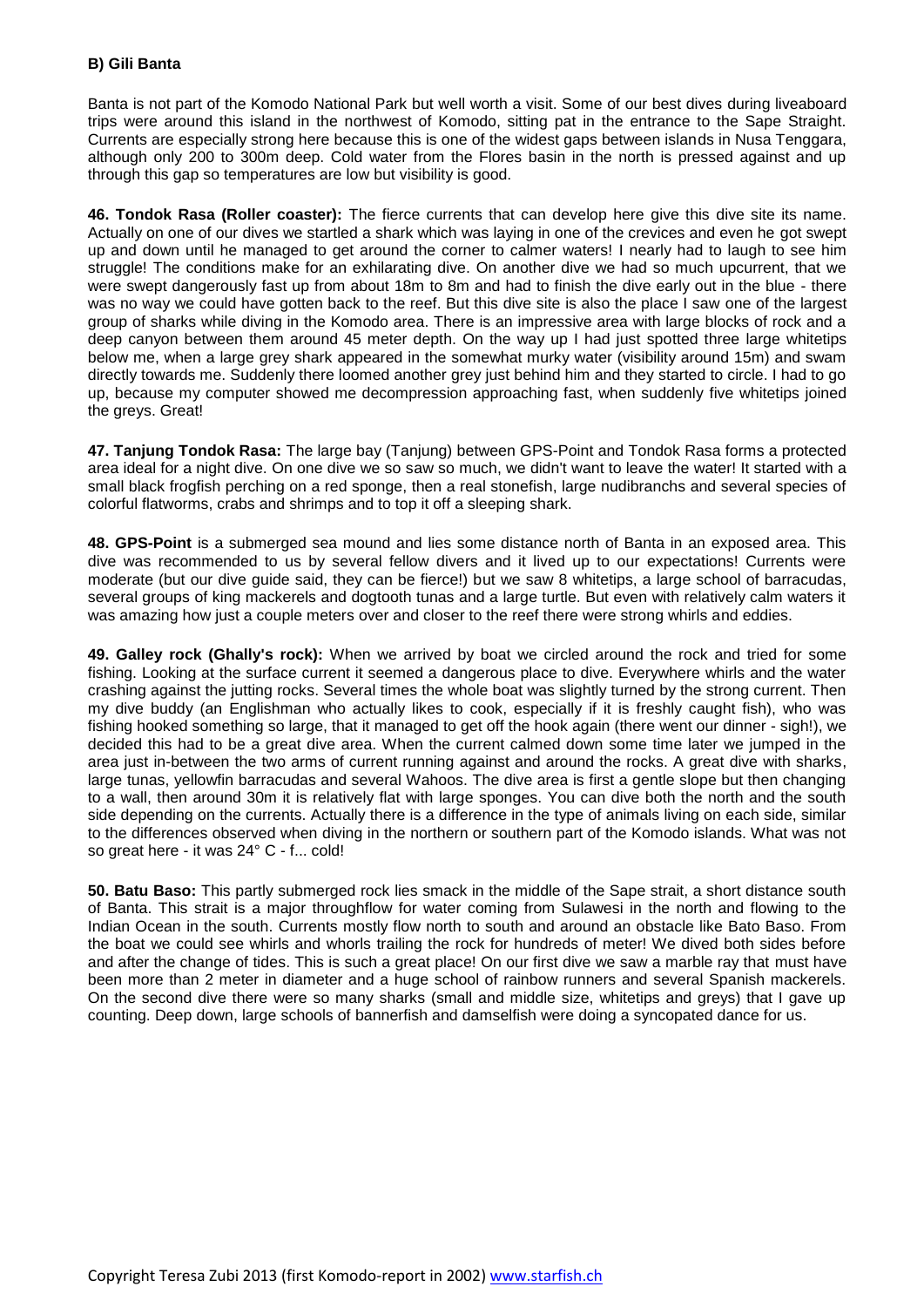Banta is not part of the Komodo National Park but well worth a visit. Some of our best dives during liveaboard trips were around this island in the northwest of Komodo, sitting pat in the entrance to the Sape Straight. Currents are especially strong here because this is one of the widest gaps between islands in Nusa Tenggara, although only 200 to 300m deep. Cold water from the Flores basin in the north is pressed against and up through this gap so temperatures are low but visibility is good.

**46. Tondok Rasa (Roller coaster):** The fierce currents that can develop here give this dive site its name. Actually on one of our dives we startled a shark which was laying in one of the crevices and even he got swept up and down until he managed to get around the corner to calmer waters! I nearly had to laugh to see him struggle! The conditions make for an exhilarating dive. On another dive we had so much upcurrent, that we were swept dangerously fast up from about 18m to 8m and had to finish the dive early out in the blue - there was no way we could have gotten back to the reef. But this dive site is also the place I saw one of the largest group of sharks while diving in the Komodo area. There is an impressive area with large blocks of rock and a deep canyon between them around 45 meter depth. On the way up I had just spotted three large whitetips below me, when a large grey shark appeared in the somewhat murky water (visibility around 15m) and swam directly towards me. Suddenly there loomed another grey just behind him and they started to circle. I had to go up, because my computer showed me decompression approaching fast, when suddenly five whitetips joined the greys. Great!

**47. Tanjung Tondok Rasa:** The large bay (Tanjung) between GPS-Point and Tondok Rasa forms a protected area ideal for a night dive. On one dive we so saw so much, we didn't want to leave the water! It started with a small black frogfish perching on a red sponge, then a real stonefish, large nudibranchs and several species of colorful flatworms, crabs and shrimps and to top it off a sleeping shark.

**48. GPS-Point** is a submerged sea mound and lies some distance north of Banta in an exposed area. This dive was recommended to us by several fellow divers and it lived up to our expectations! Currents were moderate (but our dive guide said, they can be fierce!) but we saw 8 whitetips, a large school of barracudas, several groups of king mackerels and dogtooth tunas and a large turtle. But even with relatively calm waters it was amazing how just a couple meters over and closer to the reef there were strong whirls and eddies.

**49. Galley rock (Ghally's rock):** When we arrived by boat we circled around the rock and tried for some fishing. Looking at the surface current it seemed a dangerous place to dive. Everywhere whirls and the water crashing against the jutting rocks. Several times the whole boat was slightly turned by the strong current. Then my dive buddy (an Englishman who actually likes to cook, especially if it is freshly caught fish), who was fishing hooked something so large, that it managed to get off the hook again (there went our dinner - sigh!), we decided this had to be a great dive area. When the current calmed down some time later we jumped in the area just in-between the two arms of current running against and around the rocks. A great dive with sharks, large tunas, yellowfin barracudas and several Wahoos. The dive area is first a gentle slope but then changing to a wall, then around 30m it is relatively flat with large sponges. You can dive both the north and the south side depending on the currents. Actually there is a difference in the type of animals living on each side, similar to the differences observed when diving in the northern or southern part of the Komodo islands. What was not so great here - it was 24° C - f... cold!

**50. Batu Baso:** This partly submerged rock lies smack in the middle of the Sape strait, a short distance south of Banta. This strait is a major throughflow for water coming from Sulawesi in the north and flowing to the Indian Ocean in the south. Currents mostly flow north to south and around an obstacle like Bato Baso. From the boat we could see whirls and whorls trailing the rock for hundreds of meter! We dived both sides before and after the change of tides. This is such a great place! On our first dive we saw a marble ray that must have been more than 2 meter in diameter and a huge school of rainbow runners and several Spanish mackerels. On the second dive there were so many sharks (small and middle size, whitetips and greys) that I gave up counting. Deep down, large schools of bannerfish and damselfish were doing a syncopated dance for us.